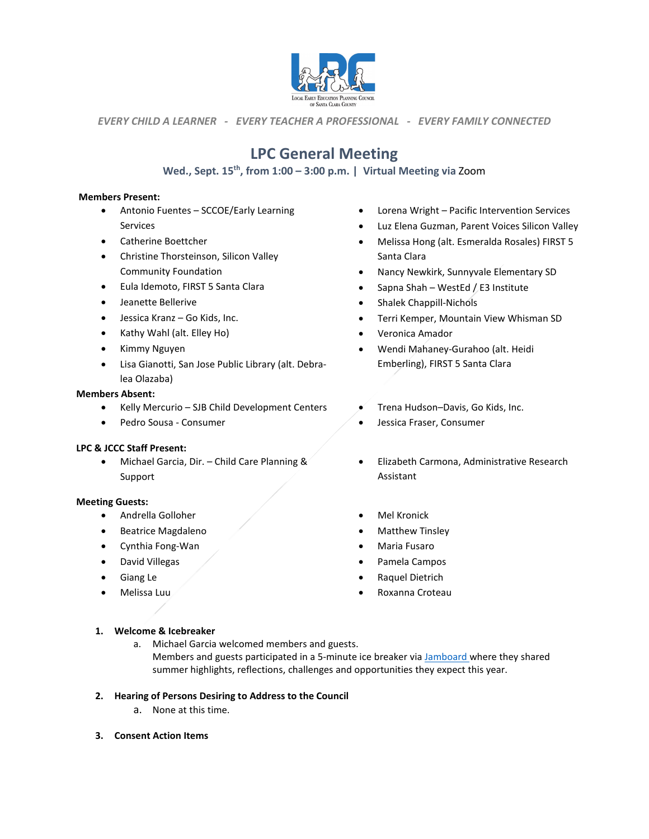

*EVERY CHILD A LEARNER - EVERY TEACHER A PROFESSIONAL - EVERY FAMILY CONNECTED*

# **LPC General Meeting**

## Wed., Sept. 15<sup>th</sup>, from 1:00 - 3:00 p.m. | Virtual Meeting via Zoom

#### **Members Present:**

- Antonio Fuentes SCCOE/Early Learning Services
- Catherine Boettcher
- Christine Thorsteinson, Silicon Valley Community Foundation
- Eula Idemoto, FIRST 5 Santa Clara
- Jeanette Bellerive
- Jessica Kranz Go Kids, Inc.
- Kathy Wahl (alt. Elley Ho)
- Kimmy Nguyen
- Lisa Gianotti, San Jose Public Library (alt. Debralea Olazaba)

#### **Members Absent:**

- Kelly Mercurio SJB Child Development Centers
- Pedro Sousa Consumer

#### **LPC & JCCC Staff Present:**

• Michael Garcia, Dir. – Child Care Planning & Support

#### **Meeting Guests:**

- Andrella Golloher
- Beatrice Magdaleno
- Cynthia Fong-Wan
- David Villegas
- Giang Le
- Melissa Luu
- Lorena Wright Pacific Intervention Services
- Luz Elena Guzman, Parent Voices Silicon Valley
- Melissa Hong (alt. Esmeralda Rosales) FIRST 5 Santa Clara
- Nancy Newkirk, Sunnyvale Elementary SD
- Sapna Shah WestEd / E3 Institute
- Shalek Chappill-Nichols
- Terri Kemper, Mountain View Whisman SD
- Veronica Amador
- Wendi Mahaney-Gurahoo (alt. Heidi Emberling), FIRST 5 Santa Clara
- Trena Hudson–Davis, Go Kids, Inc.
- Jessica Fraser, Consumer
- Elizabeth Carmona, Administrative Research Assistant
- **Mel Kronick**
- Matthew Tinsley
- Maria Fusaro
- Pamela Campos
- Raquel Dietrich
- Roxanna Croteau

#### **1. Welcome & Icebreaker**

- a. Michael Garcia welcomed members and guests. Members and guests participated in a 5-minute ice breaker vi[a Jamboard w](https://jamboard.google.com/d/1lPdbooXIct-TpBOpev6AK_l2FhSVeHa2kYcH4nPy8sQ/edit?usp=sharing)here they shared summer highlights, reflections, challenges and opportunities they expect this year.
- **2. Hearing of Persons Desiring to Address to the Council** 
	- a. None at this time.
- **3. Consent Action Items**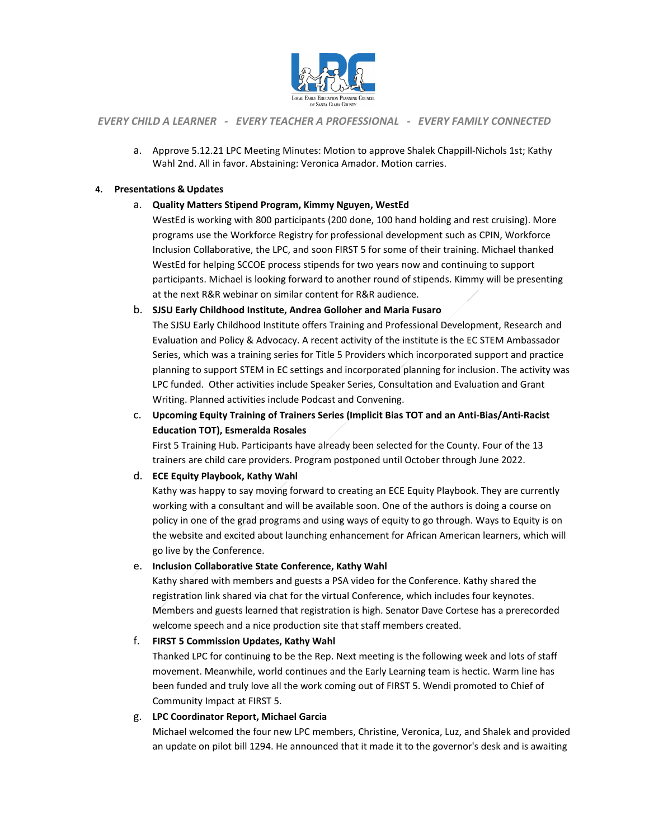

#### *EVERY CHILD A LEARNER - EVERY TEACHER A PROFESSIONAL - EVERY FAMILY CONNECTED*

a. Approve 5.12.21 LPC Meeting Minutes: Motion to approve Shalek Chappill-Nichols 1st; Kathy Wahl 2nd. All in favor. Abstaining: Veronica Amador. Motion carries.

#### **4. Presentations & Updates**

#### a. **Quality Matters Stipend Program, Kimmy Nguyen, WestEd**

WestEd is working with 800 participants (200 done, 100 hand holding and rest cruising). More programs use the Workforce Registry for professional development such as CPIN, Workforce Inclusion Collaborative, the LPC, and soon FIRST 5 for some of their training. Michael thanked WestEd for helping SCCOE process stipends for two years now and continuing to support participants. Michael is looking forward to another round of stipends. Kimmy will be presenting at the next R&R webinar on similar content for R&R audience.

#### b. **SJSU Early Childhood Institute, Andrea Golloher and Maria Fusaro**

The SJSU Early Childhood Institute offers Training and Professional Development, Research and Evaluation and Policy & Advocacy. A recent activity of the institute is the EC STEM Ambassador Series, which was a training series for Title 5 Providers which incorporated support and practice planning to support STEM in EC settings and incorporated planning for inclusion. The activity was LPC funded. Other activities include Speaker Series, Consultation and Evaluation and Grant Writing. Planned activities include Podcast and Convening.

### c. **Upcoming Equity Training of Trainers Series (Implicit Bias TOT and an Anti-Bias/Anti-Racist Education TOT), Esmeralda Rosales**

First 5 Training Hub. Participants have already been selected for the County. Four of the 13 trainers are child care providers. Program postponed until October through June 2022.

#### d. **ECE Equity Playbook, Kathy Wahl**

Kathy was happy to say moving forward to creating an ECE Equity Playbook. They are currently working with a consultant and will be available soon. One of the authors is doing a course on policy in one of the grad programs and using ways of equity to go through. Ways to Equity is on the website and excited about launching enhancement for African American learners, which will go live by the Conference.

#### e. **Inclusion Collaborative State Conference, Kathy Wahl**

Kathy shared with members and guests a PSA video for the Conference. Kathy shared the registration link shared via chat for the virtual Conference, which includes four keynotes. Members and guests learned that registration is high. Senator Dave Cortese has a prerecorded welcome speech and a nice production site that staff members created.

#### f. **FIRST 5 Commission Updates, Kathy Wahl**

Thanked LPC for continuing to be the Rep. Next meeting is the following week and lots of staff movement. Meanwhile, world continues and the Early Learning team is hectic. Warm line has been funded and truly love all the work coming out of FIRST 5. Wendi promoted to Chief of Community Impact at FIRST 5.

#### g. **LPC Coordinator Report, Michael Garcia**

Michael welcomed the four new LPC members, Christine, Veronica, Luz, and Shalek and provided an update on pilot bill 1294. He announced that it made it to the governor's desk and is awaiting